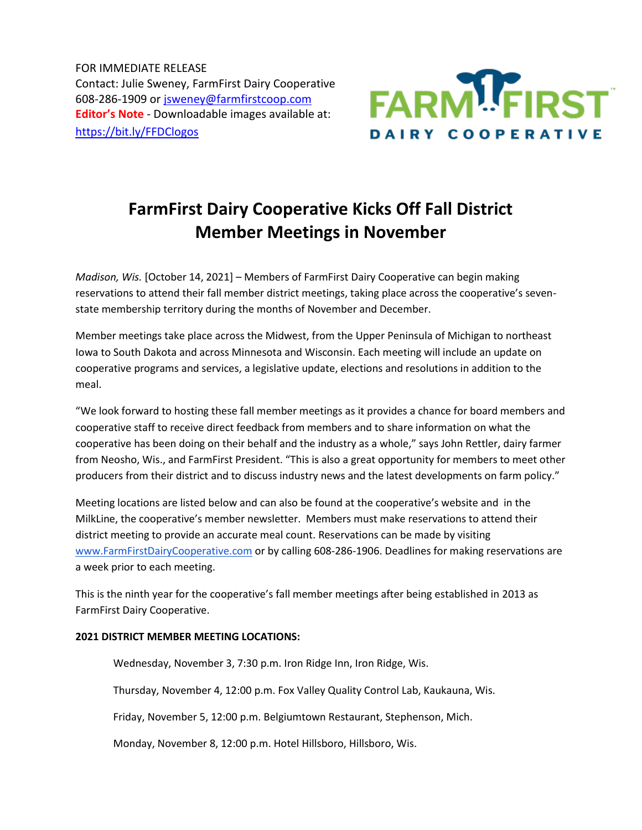FOR IMMEDIATE RELEASE Contact: Julie Sweney, FarmFirst Dairy Cooperative 608-286-1909 or [jsweney@farmfirstcoop.com](mailto:jsweney@farmfirstcoop.com) **Editor's Note** - Downloadable images available at: <https://bit.ly/FFDClogos>



## **FarmFirst Dairy Cooperative Kicks Off Fall District Member Meetings in November**

*Madison, Wis.* [October 14, 2021] – Members of FarmFirst Dairy Cooperative can begin making reservations to attend their fall member district meetings, taking place across the cooperative's sevenstate membership territory during the months of November and December.

Member meetings take place across the Midwest, from the Upper Peninsula of Michigan to northeast Iowa to South Dakota and across Minnesota and Wisconsin. Each meeting will include an update on cooperative programs and services, a legislative update, elections and resolutions in addition to the meal.

"We look forward to hosting these fall member meetings as it provides a chance for board members and cooperative staff to receive direct feedback from members and to share information on what the cooperative has been doing on their behalf and the industry as a whole," says John Rettler, dairy farmer from Neosho, Wis., and FarmFirst President. "This is also a great opportunity for members to meet other producers from their district and to discuss industry news and the latest developments on farm policy."

Meeting locations are listed below and can also be found at the cooperative's website and in the MilkLine, the cooperative's member newsletter. Members must make reservations to attend their district meeting to provide an accurate meal count. Reservations can be made by visiting [www.FarmFirstDairyCooperative.com](http://www.farmfirstdairycooperative.com/) or by calling 608-286-1906. Deadlines for making reservations are a week prior to each meeting.

This is the ninth year for the cooperative's fall member meetings after being established in 2013 as FarmFirst Dairy Cooperative.

## **2021 DISTRICT MEMBER MEETING LOCATIONS:**

Wednesday, November 3, 7:30 p.m. Iron Ridge Inn, Iron Ridge, Wis.

Thursday, November 4, 12:00 p.m. Fox Valley Quality Control Lab, Kaukauna, Wis.

Friday, November 5, 12:00 p.m. Belgiumtown Restaurant, Stephenson, Mich.

Monday, November 8, 12:00 p.m. Hotel Hillsboro, Hillsboro, Wis.